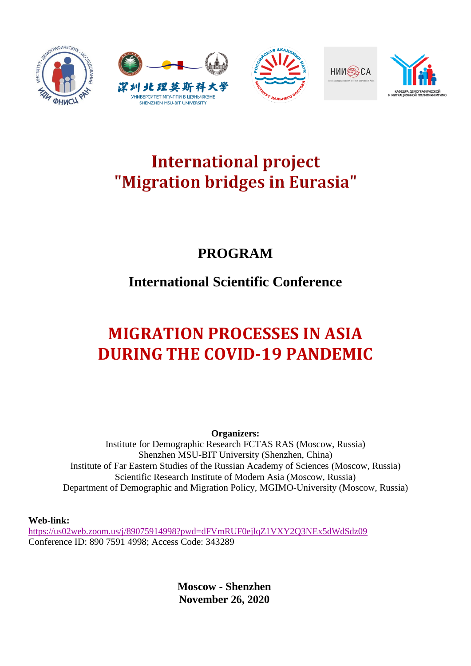









# **International project** "Migration bridges in Eurasia"

### **PROGRAM**

## **International Scientific Conference**

# **MIGRATION PROCESSES IN ASIA DURING THE COVID-19 PANDEMIC**

**Organizers:** Institute for Demographic Research FCTAS RAS (Moscow, Russia) Shenzhen MSU-BIT University (Shenzhen, China) Institute of Far Eastern Studies of the Russian Academy of Sciences (Moscow, Russia) Scientific Research Institute of Modern Asia (Moscow, Russia) Department of Demographic and Migration Policy, MGIMO-University (Moscow, Russia)

**Web-link:** 

<https://us02web.zoom.us/j/89075914998?pwd=dFVmRUF0ejlqZ1VXY2Q3NEx5dWdSdz09> Conference ID: 890 7591 4998; Access Code: 343289

> **Moscow - Shenzhen November 26, 2020**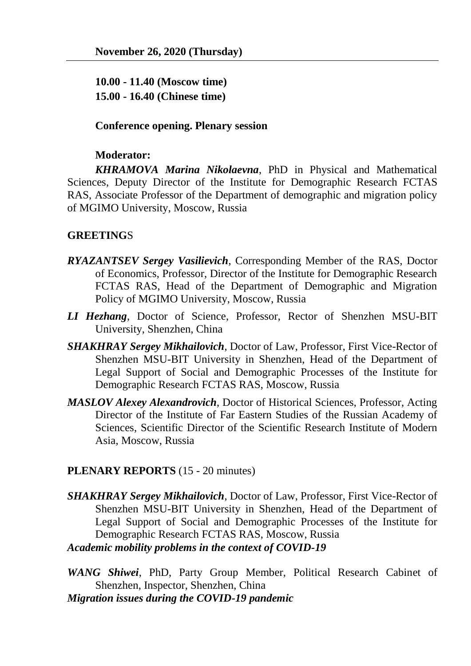**10.00 - 11.40 (Moscow time) 15.00 - 16.40 (Chinese time)**

#### **Conference opening. Plenary session**

#### **Moderator:**

*KHRAMOVA Marina Nikolaevna*, PhD in Physical and Mathematical Sciences, Deputy Director of the Institute for Demographic Research FCTAS RAS, Associate Professor of the Department of demographic and migration policy of MGIMO University, Moscow, Russia

### **GREETING**S

- *RYAZANTSEV Sergey Vasilievich*, Corresponding Member of the RAS, Doctor of Economics, Professor, Director of the Institute for Demographic Research FCTAS RAS, Head of the Department of Demographic and Migration Policy of MGIMO University, Moscow, Russia
- *LI Hezhang*, Doctor of Science, Professor, Rector of Shenzhen MSU-BIT University, Shenzhen, China
- *SHAKHRAY Sergey Mikhailovich*, Doctor of Law, Professor, First Vice-Rector of Shenzhen MSU-BIT University in Shenzhen, Head of the Department of Legal Support of Social and Demographic Processes of the Institute for Demographic Research FCTAS RAS, Moscow, Russia
- *MASLOV Alexey Alexandrovich*, Doctor of Historical Sciences, Professor, Acting Director of the Institute of Far Eastern Studies of the Russian Academy of Sciences, Scientific Director of the Scientific Research Institute of Modern Asia, Moscow, Russia

#### **PLENARY REPORTS** (15 - 20 minutes)

*SHAKHRAY Sergey Mikhailovich*, Doctor of Law, Professor, First Vice-Rector of Shenzhen MSU-BIT University in Shenzhen, Head of the Department of Legal Support of Social and Demographic Processes of the Institute for Demographic Research FCTAS RAS, Moscow, Russia

*Academic mobility problems in the context of COVID-19*

*WANG Shiwei*, PhD, Party Group Member, Political Research Cabinet of Shenzhen, Inspector, Shenzhen, China *Migration issues during the COVID-19 pandemic*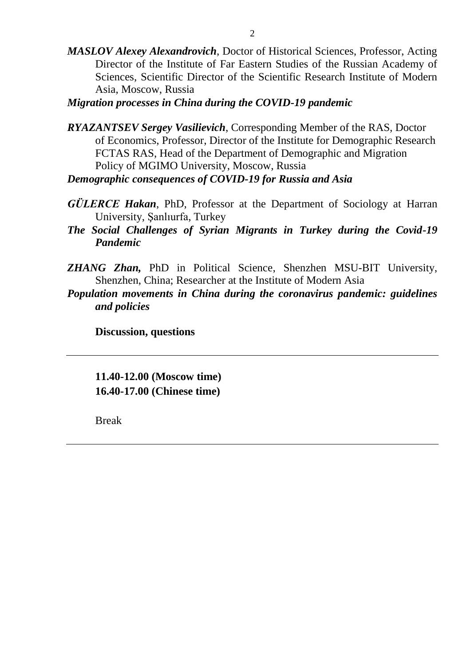- *MASLOV Alexey Alexandrovich*, Doctor of Historical Sciences, Professor, Acting Director of the Institute of Far Eastern Studies of the Russian Academy of Sciences, Scientific Director of the Scientific Research Institute of Modern Asia, Moscow, Russia
- *Migration processes in China during the COVID-19 pandemic*
- *RYAZANTSEV Sergey Vasilievich*, Corresponding Member of the RAS, Doctor of Economics, Professor, Director of the Institute for Demographic Research FCTAS RAS, Head of the Department of Demographic and Migration Policy of MGIMO University, Moscow, Russia *Demographic consequences of COVID-19 for Russia and Asia*
- 
- *GÜLERCE Hakan*, PhD, Professor at the Department of Sociology at Harran University, Şanlıurfa, Turkey
- *The Social Challenges of Syrian Migrants in Turkey during the Covid-19 Pandemic*
- *ZHANG Zhan,* PhD in Political Science, Shenzhen MSU-BIT University, Shenzhen, China; Researcher at the Institute of Modern Asia
- *Population movements in China during the coronavirus pandemic: guidelines and policies*

**Discussion, questions**

**11.40-12.00 (Moscow time) 16.40-17.00 (Chinese time)**

Break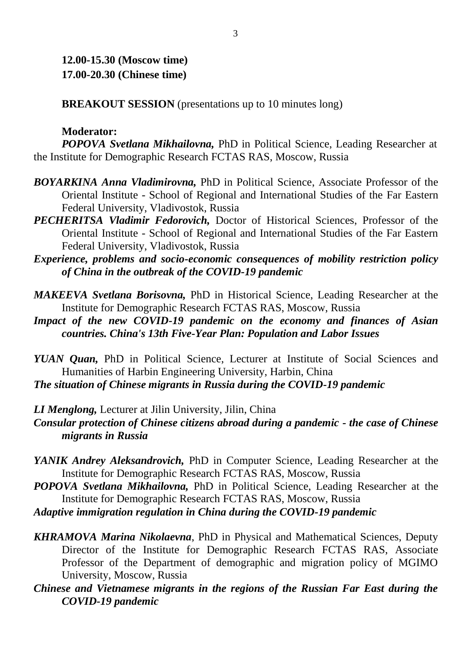**12.00-15.30 (Moscow time) 17.00-20.30 (Chinese time)**

**BREAKOUT SESSION** (presentations up to 10 minutes long)

#### **Moderator:**

*POPOVA Svetlana Mikhailovna,* PhD in Political Science, Leading Researcher at the Institute for Demographic Research FCTAS RAS, Moscow, Russia

- *BOYARKINA Anna Vladimirovna,* PhD in Political Science, Associate Professor of the Oriental Institute - School of Regional and International Studies of the Far Eastern Federal University, Vladivostok, Russia
- *PECHERITSA Vladimir Fedorovich,* Doctor of Historical Sciences, Professor of the Oriental Institute - School of Regional and International Studies of the Far Eastern Federal University, Vladivostok, Russia
- *Experience, problems and socio-economic consequences of mobility restriction policy of China in the outbreak of the COVID-19 pandemic*
- *MAKEEVA Svetlana Borisovna,* PhD in Historical Science, Leading Researcher at the Institute for Demographic Research FCTAS RAS, Moscow, Russia
- *Impact of the new COVID-19 pandemic on the economy and finances of Asian countries. China's 13th Five-Year Plan: Population and Labor Issues*
- *YUAN Quan,* PhD in Political Science, Lecturer at Institute of Social Sciences and Humanities of Harbin Engineering University, Harbin, China

*The situation of Chinese migrants in Russia during the COVID-19 pandemic*

- *LI Menglong,* Lecturer at Jilin University, Jilin, China
- *Consular protection of Chinese citizens abroad during a pandemic - the case of Chinese migrants in Russia*
- *YANIK Andrey Aleksandrovich,* PhD in Computer Science, Leading Researcher at the Institute for Demographic Research FCTAS RAS, Moscow, Russia
- *POPOVA Svetlana Mikhailovna,* PhD in Political Science, Leading Researcher at the Institute for Demographic Research FCTAS RAS, Moscow, Russia
- *Adaptive immigration regulation in China during the COVID-19 pandemic*
- *KHRAMOVA Marina Nikolaevna*, PhD in Physical and Mathematical Sciences, Deputy Director of the Institute for Demographic Research FCTAS RAS, Associate Professor of the Department of demographic and migration policy of MGIMO University, Moscow, Russia
- *Chinese and Vietnamese migrants in the regions of the Russian Far East during the COVID-19 pandemic*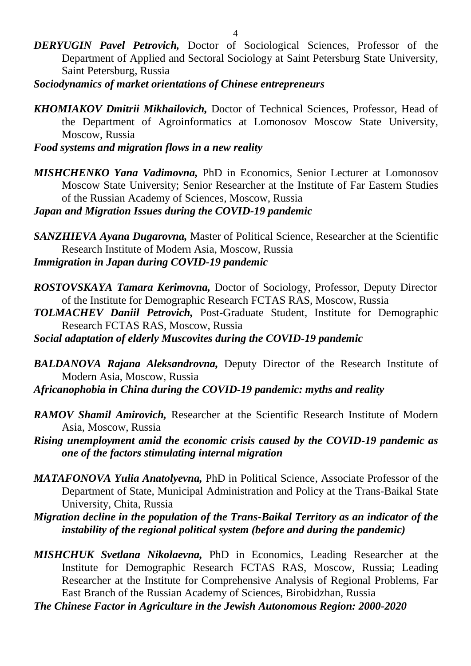- *DERYUGIN Pavel Petrovich,* Doctor of Sociological Sciences, Professor of the Department of Applied and Sectoral Sociology at Saint Petersburg State University, Saint Petersburg, Russia
- *Sociodynamics of market orientations of Chinese entrepreneurs*
- *KHOMIAKOV Dmitrii Mikhailovich,* Doctor of Technical Sciences, Professor, Head of the Department of Agroinformatics at Lomonosov Moscow State University, Moscow, Russia

*Food systems and migration flows in a new reality*

*MISHCHENKO Yana Vadimovna,* PhD in Economics, Senior Lecturer at Lomonosov Moscow State University; Senior Researcher at the Institute of Far Eastern Studies of the Russian Academy of Sciences, Moscow, Russia

*Japan and Migration Issues during the COVID-19 pandemic*

- *SANZHIEVA Ayana Dugarovna,* Master of Political Science, Researcher at the Scientific Research Institute of Modern Asia, Moscow, Russia *Immigration in Japan during COVID-19 pandemic*
- *ROSTOVSKAYA Tamara Kerimovna,* Doctor of Sociology, Professor, Deputy Director of the Institute for Demographic Research FCTAS RAS, Moscow, Russia
- *TOLMACHEV Daniil Petrovich,* Post-Graduate Student, Institute for Demographic Research FCTAS RAS, Moscow, Russia
- *Social adaptation of elderly Muscovites during the COVID-19 pandemic*
- *BALDANOVA Rajana Aleksandrovna,* Deputy Director of the Research Institute of Modern Asia, Moscow, Russia
- *Africanophobia in China during the COVID-19 pandemic: myths and reality*
- *RAMOV Shamil Amirovich,* Researcher at the Scientific Research Institute of Modern Asia, Moscow, Russia
- *Rising unemployment amid the economic crisis caused by the COVID-19 pandemic as one of the factors stimulating internal migration*
- *MATAFONOVA Yulia Anatolyevna,* PhD in Political Science, Associate Professor of the Department of State, Municipal Administration and Policy at the Trans-Baikal State University, Chita, Russia
- *Migration decline in the population of the Trans-Baikal Territory as an indicator of the instability of the regional political system (before and during the pandemic)*
- *MISHCHUK Svetlana Nikolaevna,* PhD in Economics, Leading Researcher at the Institute for Demographic Research FCTAS RAS, Moscow, Russia; Leading Researcher at the Institute for Comprehensive Analysis of Regional Problems, Far East Branch of the Russian Academy of Sciences, Birobidzhan, Russia

*The Chinese Factor in Agriculture in the Jewish Autonomous Region: 2000-2020*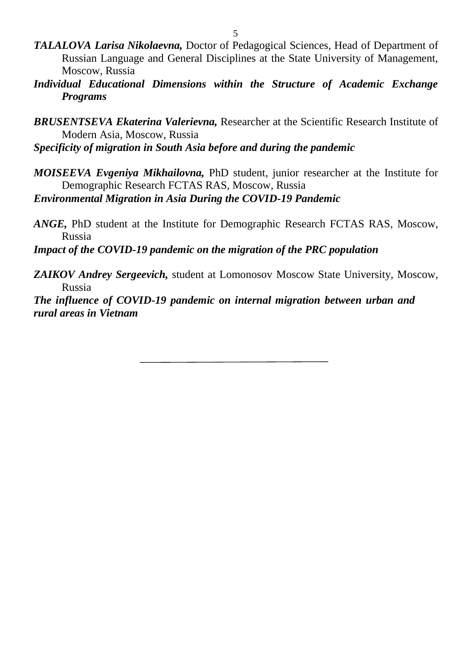- *TALALOVA Larisa Nikolaevna,* Doctor of Pedagogical Sciences, Head of Department of Russian Language and General Disciplines at the State University of Management, Moscow, Russia
- *Individual Educational Dimensions within the Structure of Academic Exchange Programs*
- *BRUSENTSEVA Ekaterina Valerievna,* Researcher at the Scientific Research Institute of Modern Asia, Moscow, Russia

*Specificity of migration in South Asia before and during the pandemic*

- *MOISEEVA Evgeniya Mikhailovna,* PhD student, junior researcher at the Institute for Demographic Research FCTAS RAS, Moscow, Russia *Environmental Migration in Asia During the COVID-19 Pandemic*
- *ANGE,* PhD student at the Institute for Demographic Research FCTAS RAS, Moscow, Russia

*Impact of the COVID-19 pandemic on the migration of the PRC population*

*ZAIKOV Andrey Sergeevich,* student at Lomonosov Moscow State University, Moscow, Russia

*The influence of COVID-19 pandemic on internal migration between urban and rural areas in Vietnam*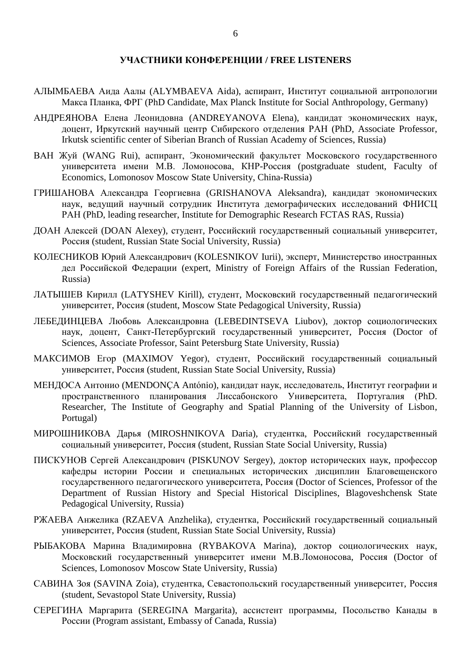#### **УЧАСТНИКИ КОНФЕРЕНЦИИ / FREE LISTENERS**

- АЛЫМБАЕВА Аида Аалы (ALYMBAEVA Aida), аспирант, Институт социальной антропологии Макса Планка, ФРГ (PhD Candidate, Max Planck Institute for Social Anthropology, Germany)
- АНДРЕЯНОВА Елена Леонидовна (ANDREYANOVA Elena), кандидат экономических наук, доцент, Иркутский научный центр Сибирского отделения РАН (PhD, Associate Professor, Irkutsk scientific center of Siberian Branch of Russian Academy of Sciences, Russia)
- ВАН Жуй (WANG Rui), аспирант, Экономический факультет Московского государственного университета имени М.В. Ломоносова, КНР-Россия (postgraduate student, Faculty of Economics, Lomonosov Moscow State University, China-Russia)
- ГРИШАНОВА Александра Георгиевна (GRISHANOVA Aleksandra), кандидат экономических наук, ведущий научный сотрудник Института демографических исследований ФНИСЦ РАН (PhD, leading researcher, Institute for Demographic Research FCTAS RAS, Russia)
- ДОАН Алексей (DOAN Alexey), студент, Российский государственный социальный университет, Россия (student, Russian State Social University, Russia)
- КОЛЕСНИКОВ Юрий Александрович (KOLESNIKOV Iurii), эксперт, Министерство иностранных дел Российской Федерации (expert, Ministry of Foreign Affairs of the Russian Federation, Russia)
- ЛАТЫШЕВ Кирилл (LATYSHEV Kirill), студент, Московский государственный педагогический университет, Россия (student, Moscow State Pedagogical University, Russia)
- ЛЕБЕДИНЦЕВА Любовь Александровна (LEBEDINTSEVA Liubov), доктор социологических наук, доцент, Санкт-Петербургский государственный университет, Россия (Doctor of Sciences, Associate Professor, Saint Petersburg State University, Russia)
- МАКСИМОВ Егор (MAXIMOV Yegor), студент, Российский государственный социальный университет, Россия (student, Russian State Social University, Russia)
- МЕНДОСА Антонио (MENDONÇA António), кандидат наук, исследователь, Институт географии и пространственного планирования Лиссабонского Университета, Португалия (PhD. Researcher, The Institute of Geography and Spatial Planning of the University of Lisbon, Portugal)
- МИРОШНИКОВА Дарья (MIROSHNIKOVA Daria), студентка, Российский государственный социальный университет, Россия (student, Russian State Social University, Russia)
- ПИСКУНОВ Сергей Александрович (PISKUNOV Sergey), доктор исторических наук, профессор кафедры истории России и специальных исторических дисциплин Благовещенского государственного педагогического университета, Россия (Doctor of Sciences, Professor of the Department of Russian History and Special Historical Disciplines, Blagoveshchensk State Pedagogical University, Russia)
- РЖАЕВА Анжелика (RZAEVA Anzhelika), студентка, Российский государственный социальный университет, Россия (student, Russian State Social University, Russia)
- РЫБАКОВА Марина Владимировна (RYBAKOVA Marina), доктор социологических наук, Московский государственный университет имени М.В.Ломоносова, Россия (Doctor of Sciences, Lomonosov Moscow State University, Russia)
- САВИНА Зоя (SAVINA Zoia), студентка, Севастопольский государственный университет, Россия (student, Sevastopol State University, Russia)
- СЕРЕГИНА Маргарита (SEREGINA Margarita), ассистент программы, Посольство Канады в России (Program assistant, Embassy of Canada, Russia)